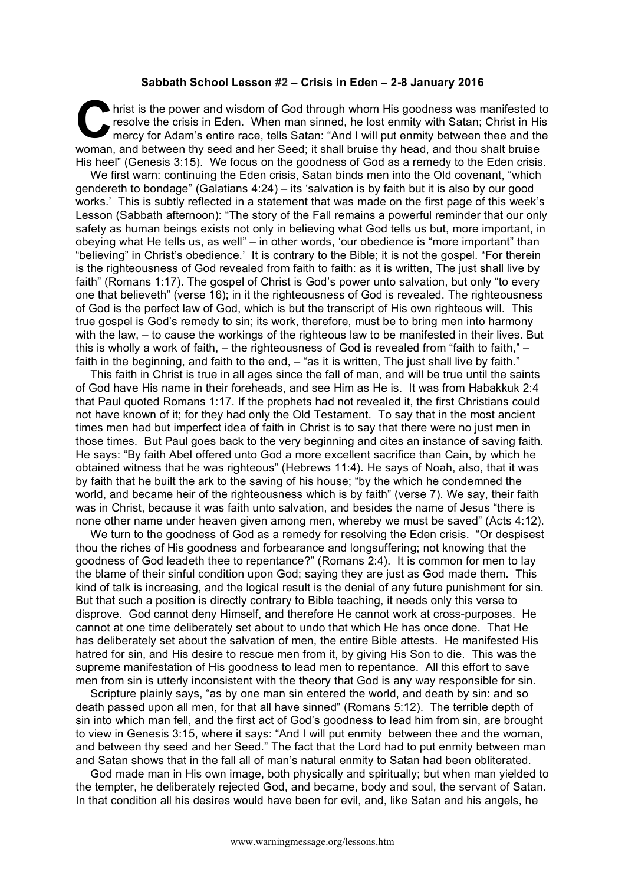## **Sabbath School Lesson #2 – Crisis in Eden – 2-8 January 2016**

hrist is the power and wisdom of God through whom His goodness was manifested to resolve the crisis in Eden. When man sinned, he lost enmity with Satan; Christ in His mercy for Adam's entire race, tells Satan: "And I will put enmity between thee and the woman, and between thy seed and her Seed; it shall bruise thy head, and thou shalt bruise His heel" (Genesis 3:15). We focus on the goodness of God as a remedy to the Eden crisis. **C** 

We first warn: continuing the Eden crisis, Satan binds men into the Old covenant, "which gendereth to bondage" (Galatians 4:24) – its 'salvation is by faith but it is also by our good works.' This is subtly reflected in a statement that was made on the first page of this week's Lesson (Sabbath afternoon): "The story of the Fall remains a powerful reminder that our only safety as human beings exists not only in believing what God tells us but, more important, in obeying what He tells us, as well" – in other words, 'our obedience is "more important" than "believing" in Christ's obedience.' It is contrary to the Bible; it is not the gospel. "For therein is the righteousness of God revealed from faith to faith: as it is written, The just shall live by faith" (Romans 1:17). The gospel of Christ is God's power unto salvation, but only "to every one that believeth" (verse 16); in it the righteousness of God is revealed. The righteousness of God is the perfect law of God, which is but the transcript of His own righteous will. This true gospel is God's remedy to sin; its work, therefore, must be to bring men into harmony with the law, – to cause the workings of the righteous law to be manifested in their lives. But this is wholly a work of faith, – the righteousness of God is revealed from "faith to faith," – faith in the beginning, and faith to the end,  $-$  "as it is written, The just shall live by faith."

This faith in Christ is true in all ages since the fall of man, and will be true until the saints of God have His name in their foreheads, and see Him as He is. It was from Habakkuk 2:4 that Paul quoted Romans 1:17. If the prophets had not revealed it, the first Christians could not have known of it; for they had only the Old Testament. To say that in the most ancient times men had but imperfect idea of faith in Christ is to say that there were no just men in those times. But Paul goes back to the very beginning and cites an instance of saving faith. He says: "By faith Abel offered unto God a more excellent sacrifice than Cain, by which he obtained witness that he was righteous" (Hebrews 11:4). He says of Noah, also, that it was by faith that he built the ark to the saving of his house; "by the which he condemned the world, and became heir of the righteousness which is by faith" (verse 7). We say, their faith was in Christ, because it was faith unto salvation, and besides the name of Jesus "there is none other name under heaven given among men, whereby we must be saved" (Acts 4:12).

We turn to the goodness of God as a remedy for resolving the Eden crisis. "Or despisest thou the riches of His goodness and forbearance and longsuffering; not knowing that the goodness of God leadeth thee to repentance?" (Romans 2:4). It is common for men to lay the blame of their sinful condition upon God; saying they are just as God made them. This kind of talk is increasing, and the logical result is the denial of any future punishment for sin. But that such a position is directly contrary to Bible teaching, it needs only this verse to disprove. God cannot deny Himself, and therefore He cannot work at cross-purposes. He cannot at one time deliberately set about to undo that which He has once done. That He has deliberately set about the salvation of men, the entire Bible attests. He manifested His hatred for sin, and His desire to rescue men from it, by giving His Son to die. This was the supreme manifestation of His goodness to lead men to repentance. All this effort to save men from sin is utterly inconsistent with the theory that God is any way responsible for sin.

Scripture plainly says, "as by one man sin entered the world, and death by sin: and so death passed upon all men, for that all have sinned" (Romans 5:12). The terrible depth of sin into which man fell, and the first act of God's goodness to lead him from sin, are brought to view in Genesis 3:15, where it says: "And I will put enmity between thee and the woman, and between thy seed and her Seed." The fact that the Lord had to put enmity between man and Satan shows that in the fall all of man's natural enmity to Satan had been obliterated.

God made man in His own image, both physically and spiritually; but when man yielded to the tempter, he deliberately rejected God, and became, body and soul, the servant of Satan. In that condition all his desires would have been for evil, and, like Satan and his angels, he